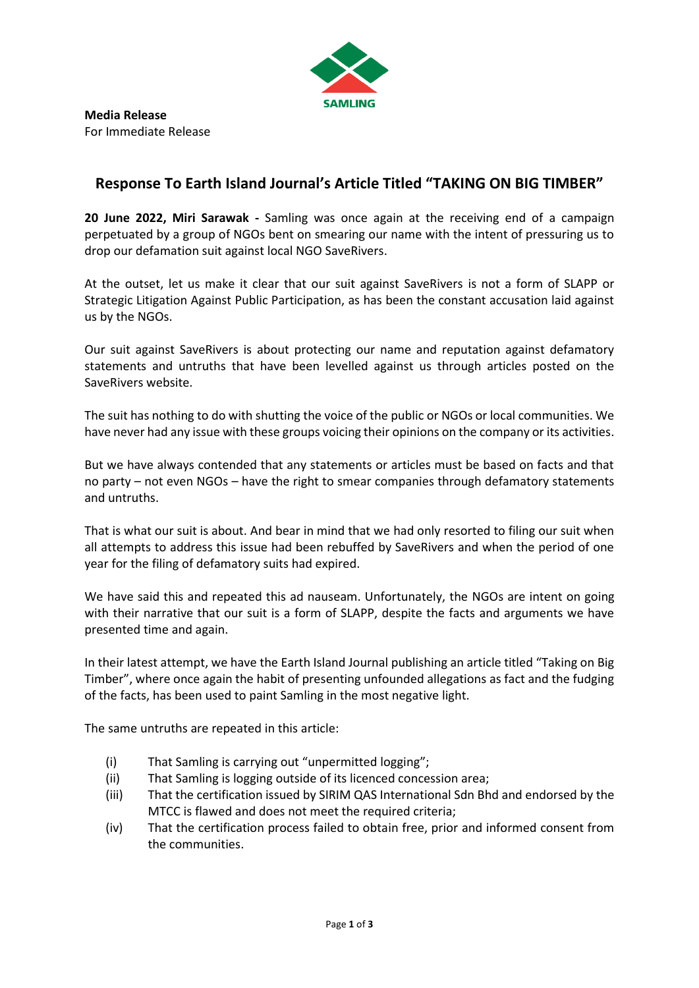

## **Response To Earth Island Journal's Article Titled "TAKING ON BIG TIMBER"**

**20 June 2022, Miri Sarawak -** Samling was once again at the receiving end of a campaign perpetuated by a group of NGOs bent on smearing our name with the intent of pressuring us to drop our defamation suit against local NGO SaveRivers.

At the outset, let us make it clear that our suit against SaveRivers is not a form of SLAPP or Strategic Litigation Against Public Participation, as has been the constant accusation laid against us by the NGOs.

Our suit against SaveRivers is about protecting our name and reputation against defamatory statements and untruths that have been levelled against us through articles posted on the SaveRivers website.

The suit has nothing to do with shutting the voice of the public or NGOs or local communities. We have never had any issue with these groups voicing their opinions on the company or its activities.

But we have always contended that any statements or articles must be based on facts and that no party – not even NGOs – have the right to smear companies through defamatory statements and untruths.

That is what our suit is about. And bear in mind that we had only resorted to filing our suit when all attempts to address this issue had been rebuffed by SaveRivers and when the period of one year for the filing of defamatory suits had expired.

We have said this and repeated this ad nauseam. Unfortunately, the NGOs are intent on going with their narrative that our suit is a form of SLAPP, despite the facts and arguments we have presented time and again.

In their latest attempt, we have the Earth Island Journal publishing an article titled "Taking on Big Timber", where once again the habit of presenting unfounded allegations as fact and the fudging of the facts, has been used to paint Samling in the most negative light.

The same untruths are repeated in this article:

- (i) That Samling is carrying out "unpermitted logging";
- (ii) That Samling is logging outside of its licenced concession area;
- (iii) That the certification issued by SIRIM QAS International Sdn Bhd and endorsed by the MTCC is flawed and does not meet the required criteria;
- (iv) That the certification process failed to obtain free, prior and informed consent from the communities.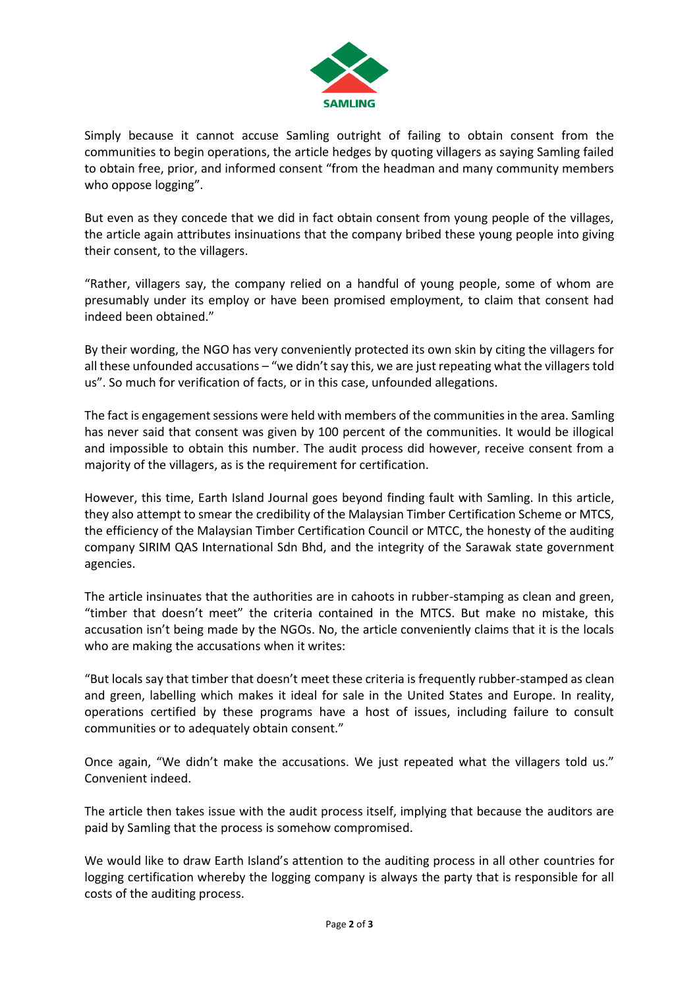

Simply because it cannot accuse Samling outright of failing to obtain consent from the communities to begin operations, the article hedges by quoting villagers as saying Samling failed to obtain free, prior, and informed consent "from the headman and many community members who oppose logging".

But even as they concede that we did in fact obtain consent from young people of the villages, the article again attributes insinuations that the company bribed these young people into giving their consent, to the villagers.

"Rather, villagers say, the company relied on a handful of young people, some of whom are presumably under its employ or have been promised employment, to claim that consent had indeed been obtained."

By their wording, the NGO has very conveniently protected its own skin by citing the villagers for all these unfounded accusations – "we didn't say this, we are just repeating what the villagers told us". So much for verification of facts, or in this case, unfounded allegations.

The fact is engagement sessions were held with members of the communities in the area. Samling has never said that consent was given by 100 percent of the communities. It would be illogical and impossible to obtain this number. The audit process did however, receive consent from a majority of the villagers, as is the requirement for certification.

However, this time, Earth Island Journal goes beyond finding fault with Samling. In this article, they also attempt to smear the credibility of the Malaysian Timber Certification Scheme or MTCS, the efficiency of the Malaysian Timber Certification Council or MTCC, the honesty of the auditing company SIRIM QAS International Sdn Bhd, and the integrity of the Sarawak state government agencies.

The article insinuates that the authorities are in cahoots in rubber-stamping as clean and green, "timber that doesn't meet" the criteria contained in the MTCS. But make no mistake, this accusation isn't being made by the NGOs. No, the article conveniently claims that it is the locals who are making the accusations when it writes:

"But locals say that timber that doesn't meet these criteria is frequently rubber-stamped as clean and green, labelling which makes it ideal for sale in the United States and Europe. In reality, operations certified by these programs have a host of issues, including failure to consult communities or to adequately obtain consent."

Once again, "We didn't make the accusations. We just repeated what the villagers told us." Convenient indeed.

The article then takes issue with the audit process itself, implying that because the auditors are paid by Samling that the process is somehow compromised.

We would like to draw Earth Island's attention to the auditing process in all other countries for logging certification whereby the logging company is always the party that is responsible for all costs of the auditing process.